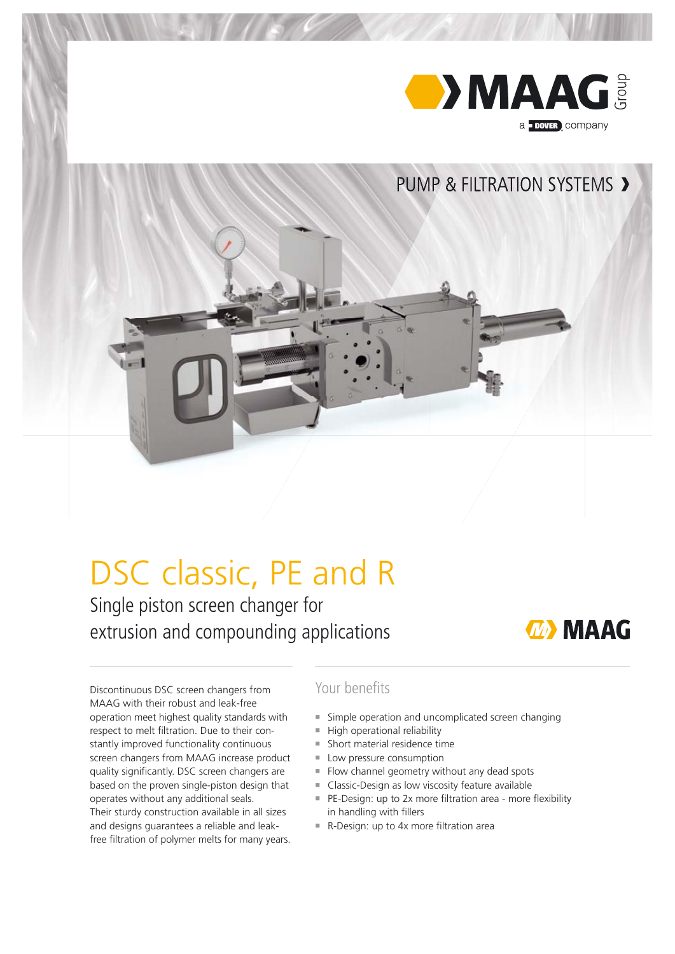

# DSC classic, PE and R

Single piston screen changer for extrusion and compounding applications



Discontinuous DSC screen changers from MAAG with their robust and leak-free operation meet highest quality standards with respect to melt filtration. Due to their constantly improved functionality continuous screen changers from MAAG increase product quality significantly. DSC screen changers are based on the proven single-piston design that operates without any additional seals. Their sturdy construction available in all sizes and designs guarantees a reliable and leakfree filtration of polymer melts for many years.

## Your benefits

- ¡ Simple operation and uncomplicated screen changing
- $\blacksquare$  High operational reliability
- $\blacksquare$  Short material residence time
- Low pressure consumption
- Flow channel geometry without any dead spots
- Classic-Design as low viscosity feature available
- PE-Design: up to 2x more filtration area more flexibility in handling with fillers
- R-Design: up to 4x more filtration area